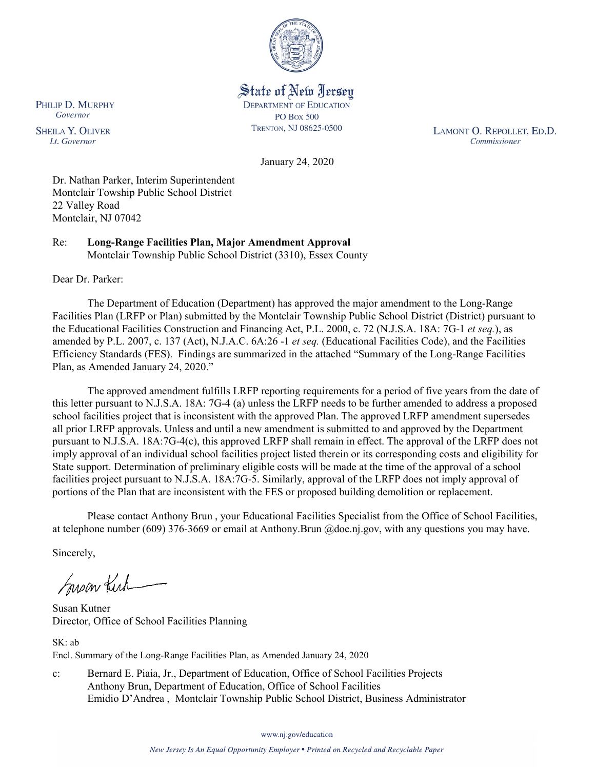

State of New Jersey **DEPARTMENT OF EDUCATION PO Box 500** TRENTON, NJ 08625-0500

LAMONT O. REPOLLET, ED.D. Commissioner

January 24, 2020

Dr. Nathan Parker, Interim Superintendent Montclair Towship Public School District 22 Valley Road Montclair, NJ 07042

Re: **Long-Range Facilities Plan, Major Amendment Approval** Montclair Township Public School District (3310), Essex County

Dear Dr. Parker:

The Department of Education (Department) has approved the major amendment to the Long-Range Facilities Plan (LRFP or Plan) submitted by the Montclair Township Public School District (District) pursuant to the Educational Facilities Construction and Financing Act, P.L. 2000, c. 72 (N.J.S.A. 18A: 7G-1 *et seq.*), as amended by P.L. 2007, c. 137 (Act), N.J.A.C. 6A:26 -1 *et seq.* (Educational Facilities Code), and the Facilities Efficiency Standards (FES). Findings are summarized in the attached "Summary of the Long-Range Facilities Plan, as Amended January 24, 2020."

The approved amendment fulfills LRFP reporting requirements for a period of five years from the date of this letter pursuant to N.J.S.A. 18A: 7G-4 (a) unless the LRFP needs to be further amended to address a proposed school facilities project that is inconsistent with the approved Plan. The approved LRFP amendment supersedes all prior LRFP approvals. Unless and until a new amendment is submitted to and approved by the Department pursuant to N.J.S.A. 18A:7G-4(c), this approved LRFP shall remain in effect. The approval of the LRFP does not imply approval of an individual school facilities project listed therein or its corresponding costs and eligibility for State support. Determination of preliminary eligible costs will be made at the time of the approval of a school facilities project pursuant to N.J.S.A. 18A:7G-5. Similarly, approval of the LRFP does not imply approval of portions of the Plan that are inconsistent with the FES or proposed building demolition or replacement.

Please contact Anthony Brun , your Educational Facilities Specialist from the Office of School Facilities, at telephone number (609) 376-3669 or email at Anthony.Brun @doe.nj.gov, with any questions you may have.

Sincerely,

Susan Kich

Susan Kutner Director, Office of School Facilities Planning

SK: ab Encl. Summary of the Long-Range Facilities Plan, as Amended January 24, 2020

c: Bernard E. Piaia, Jr., Department of Education, Office of School Facilities Projects Anthony Brun, Department of Education, Office of School Facilities Emidio D'Andrea , Montclair Township Public School District, Business Administrator

www.nj.gov/education

PHILIP D. MURPHY Governor

**SHEILA Y. OLIVER** Lt. Governor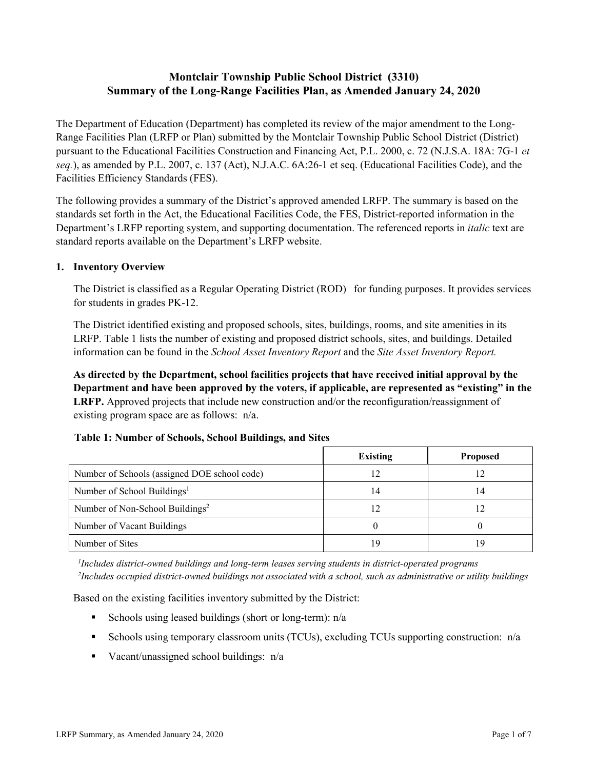# **Montclair Township Public School District (3310) Summary of the Long-Range Facilities Plan, as Amended January 24, 2020**

The Department of Education (Department) has completed its review of the major amendment to the Long-Range Facilities Plan (LRFP or Plan) submitted by the Montclair Township Public School District (District) pursuant to the Educational Facilities Construction and Financing Act, P.L. 2000, c. 72 (N.J.S.A. 18A: 7G-1 *et seq.*), as amended by P.L. 2007, c. 137 (Act), N.J.A.C. 6A:26-1 et seq. (Educational Facilities Code), and the Facilities Efficiency Standards (FES).

The following provides a summary of the District's approved amended LRFP. The summary is based on the standards set forth in the Act, the Educational Facilities Code, the FES, District-reported information in the Department's LRFP reporting system, and supporting documentation. The referenced reports in *italic* text are standard reports available on the Department's LRFP website.

#### **1. Inventory Overview**

The District is classified as a Regular Operating District (ROD) for funding purposes. It provides services for students in grades PK-12.

The District identified existing and proposed schools, sites, buildings, rooms, and site amenities in its LRFP. Table 1 lists the number of existing and proposed district schools, sites, and buildings. Detailed information can be found in the *School Asset Inventory Report* and the *Site Asset Inventory Report.*

**As directed by the Department, school facilities projects that have received initial approval by the Department and have been approved by the voters, if applicable, are represented as "existing" in the LRFP.** Approved projects that include new construction and/or the reconfiguration/reassignment of existing program space are as follows: n/a.

|  |  | Table 1: Number of Schools, School Buildings, and Sites |  |
|--|--|---------------------------------------------------------|--|
|--|--|---------------------------------------------------------|--|

|                                              | Existing | <b>Proposed</b> |
|----------------------------------------------|----------|-----------------|
| Number of Schools (assigned DOE school code) | 12       | 12              |
| Number of School Buildings <sup>1</sup>      | 14       | 14              |
| Number of Non-School Buildings <sup>2</sup>  |          |                 |
| Number of Vacant Buildings                   |          |                 |
| Number of Sites                              | Q        | 19              |

*1 Includes district-owned buildings and long-term leases serving students in district-operated programs 2 Includes occupied district-owned buildings not associated with a school, such as administrative or utility buildings*

Based on the existing facilities inventory submitted by the District:

- Schools using leased buildings (short or long-term):  $n/a$
- Schools using temporary classroom units (TCUs), excluding TCUs supporting construction:  $n/a$
- Vacant/unassigned school buildings:  $n/a$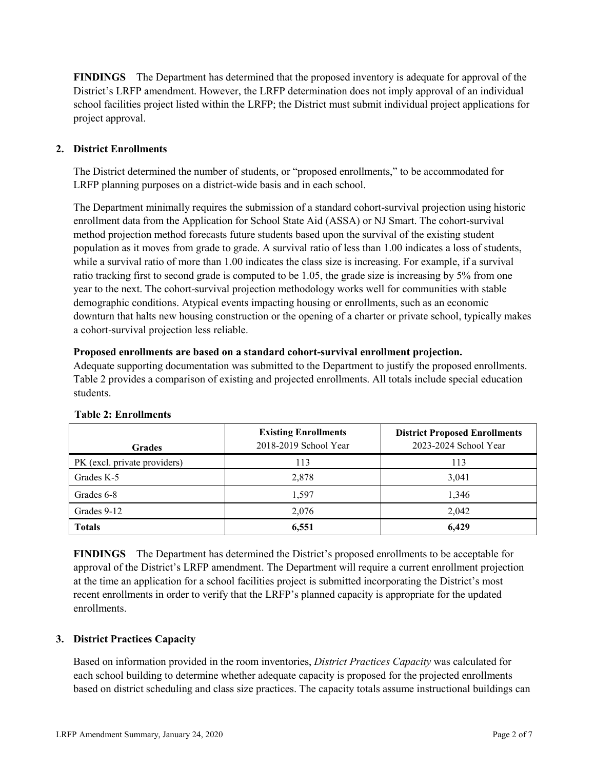**FINDINGS** The Department has determined that the proposed inventory is adequate for approval of the District's LRFP amendment. However, the LRFP determination does not imply approval of an individual school facilities project listed within the LRFP; the District must submit individual project applications for project approval.

# **2. District Enrollments**

The District determined the number of students, or "proposed enrollments," to be accommodated for LRFP planning purposes on a district-wide basis and in each school.

The Department minimally requires the submission of a standard cohort-survival projection using historic enrollment data from the Application for School State Aid (ASSA) or NJ Smart. The cohort-survival method projection method forecasts future students based upon the survival of the existing student population as it moves from grade to grade. A survival ratio of less than 1.00 indicates a loss of students, while a survival ratio of more than 1.00 indicates the class size is increasing. For example, if a survival ratio tracking first to second grade is computed to be 1.05, the grade size is increasing by 5% from one year to the next. The cohort-survival projection methodology works well for communities with stable demographic conditions. Atypical events impacting housing or enrollments, such as an economic downturn that halts new housing construction or the opening of a charter or private school, typically makes a cohort-survival projection less reliable.

#### **Proposed enrollments are based on a standard cohort-survival enrollment projection.**

Adequate supporting documentation was submitted to the Department to justify the proposed enrollments. Table 2 provides a comparison of existing and projected enrollments. All totals include special education students.

| <b>Grades</b>                | <b>Existing Enrollments</b><br>2018-2019 School Year | <b>District Proposed Enrollments</b><br>2023-2024 School Year |
|------------------------------|------------------------------------------------------|---------------------------------------------------------------|
| PK (excl. private providers) | 113                                                  | 113                                                           |
| Grades K-5                   | 2,878                                                | 3,041                                                         |
| Grades 6-8                   | 1.597                                                | 1,346                                                         |
| Grades 9-12                  | 2,076                                                | 2,042                                                         |
| <b>Totals</b>                | 6,551                                                | 6,429                                                         |

# **Table 2: Enrollments**

**FINDINGS** The Department has determined the District's proposed enrollments to be acceptable for approval of the District's LRFP amendment. The Department will require a current enrollment projection at the time an application for a school facilities project is submitted incorporating the District's most recent enrollments in order to verify that the LRFP's planned capacity is appropriate for the updated enrollments.

# **3. District Practices Capacity**

Based on information provided in the room inventories, *District Practices Capacity* was calculated for each school building to determine whether adequate capacity is proposed for the projected enrollments based on district scheduling and class size practices. The capacity totals assume instructional buildings can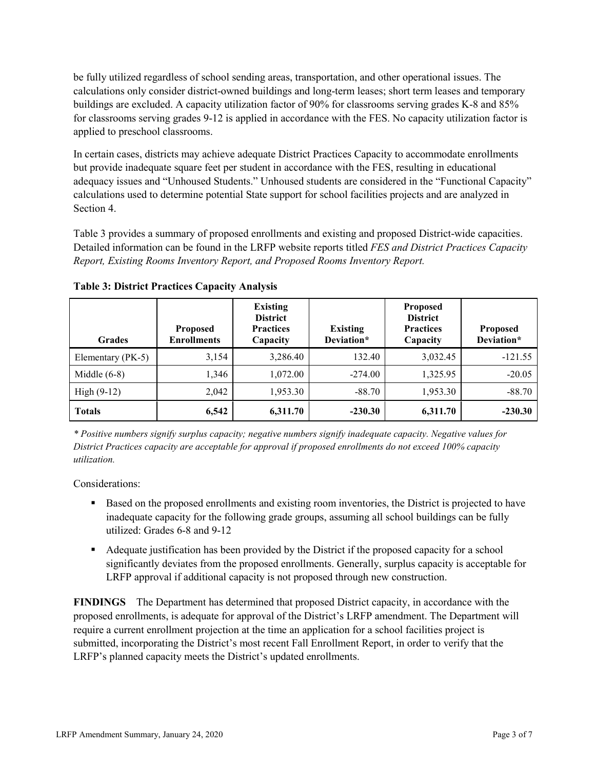be fully utilized regardless of school sending areas, transportation, and other operational issues. The calculations only consider district-owned buildings and long-term leases; short term leases and temporary buildings are excluded. A capacity utilization factor of 90% for classrooms serving grades K-8 and 85% for classrooms serving grades 9-12 is applied in accordance with the FES. No capacity utilization factor is applied to preschool classrooms.

In certain cases, districts may achieve adequate District Practices Capacity to accommodate enrollments but provide inadequate square feet per student in accordance with the FES, resulting in educational adequacy issues and "Unhoused Students." Unhoused students are considered in the "Functional Capacity" calculations used to determine potential State support for school facilities projects and are analyzed in Section 4.

Table 3 provides a summary of proposed enrollments and existing and proposed District-wide capacities. Detailed information can be found in the LRFP website reports titled *FES and District Practices Capacity Report, Existing Rooms Inventory Report, and Proposed Rooms Inventory Report.*

| <b>Grades</b>     | <b>Proposed</b><br><b>Enrollments</b> | <b>Existing</b><br><b>District</b><br><b>Practices</b><br>Capacity | <b>Existing</b><br>Deviation* | <b>Proposed</b><br><b>District</b><br><b>Practices</b><br>Capacity | <b>Proposed</b><br>Deviation* |
|-------------------|---------------------------------------|--------------------------------------------------------------------|-------------------------------|--------------------------------------------------------------------|-------------------------------|
| Elementary (PK-5) | 3,154                                 | 3,286.40                                                           | 132.40                        | 3,032.45                                                           | $-121.55$                     |
| Middle $(6-8)$    | 1,346                                 | 1,072.00                                                           | $-274.00$                     | 1,325.95                                                           | $-20.05$                      |
| High $(9-12)$     | 2.042                                 | 1,953.30                                                           | $-88.70$                      | 1,953.30                                                           | $-88.70$                      |
| <b>Totals</b>     | 6,542                                 | 6,311.70                                                           | $-230.30$                     | 6,311.70                                                           | $-230.30$                     |

**Table 3: District Practices Capacity Analysis**

*\* Positive numbers signify surplus capacity; negative numbers signify inadequate capacity. Negative values for District Practices capacity are acceptable for approval if proposed enrollments do not exceed 100% capacity utilization.*

Considerations:

- **Based on the proposed enrollments and existing room inventories, the District is projected to have** inadequate capacity for the following grade groups, assuming all school buildings can be fully utilized: Grades 6-8 and 9-12
- Adequate justification has been provided by the District if the proposed capacity for a school significantly deviates from the proposed enrollments. Generally, surplus capacity is acceptable for LRFP approval if additional capacity is not proposed through new construction.

**FINDINGS**The Department has determined that proposed District capacity, in accordance with the proposed enrollments, is adequate for approval of the District's LRFP amendment. The Department will require a current enrollment projection at the time an application for a school facilities project is submitted, incorporating the District's most recent Fall Enrollment Report, in order to verify that the LRFP's planned capacity meets the District's updated enrollments.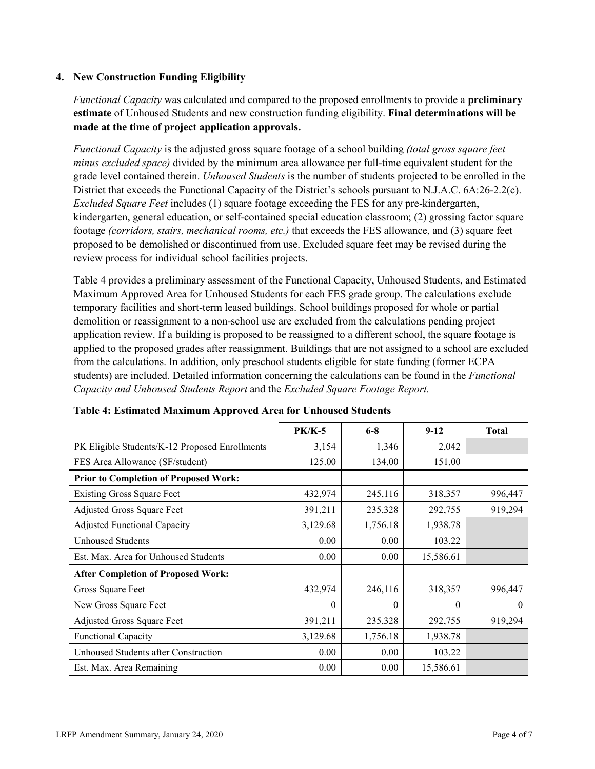### **4. New Construction Funding Eligibility**

*Functional Capacity* was calculated and compared to the proposed enrollments to provide a **preliminary estimate** of Unhoused Students and new construction funding eligibility. **Final determinations will be made at the time of project application approvals.**

*Functional Capacity* is the adjusted gross square footage of a school building *(total gross square feet minus excluded space)* divided by the minimum area allowance per full-time equivalent student for the grade level contained therein. *Unhoused Students* is the number of students projected to be enrolled in the District that exceeds the Functional Capacity of the District's schools pursuant to N.J.A.C. 6A:26-2.2(c). *Excluded Square Feet* includes (1) square footage exceeding the FES for any pre-kindergarten, kindergarten, general education, or self-contained special education classroom; (2) grossing factor square footage *(corridors, stairs, mechanical rooms, etc.)* that exceeds the FES allowance, and (3) square feet proposed to be demolished or discontinued from use. Excluded square feet may be revised during the review process for individual school facilities projects.

Table 4 provides a preliminary assessment of the Functional Capacity, Unhoused Students, and Estimated Maximum Approved Area for Unhoused Students for each FES grade group. The calculations exclude temporary facilities and short-term leased buildings. School buildings proposed for whole or partial demolition or reassignment to a non-school use are excluded from the calculations pending project application review. If a building is proposed to be reassigned to a different school, the square footage is applied to the proposed grades after reassignment. Buildings that are not assigned to a school are excluded from the calculations. In addition, only preschool students eligible for state funding (former ECPA students) are included. Detailed information concerning the calculations can be found in the *Functional Capacity and Unhoused Students Report* and the *Excluded Square Footage Report.*

|                                                | $PK/K-5$ | $6 - 8$  | $9 - 12$  | <b>Total</b> |
|------------------------------------------------|----------|----------|-----------|--------------|
| PK Eligible Students/K-12 Proposed Enrollments | 3,154    | 1,346    | 2,042     |              |
| FES Area Allowance (SF/student)                | 125.00   | 134.00   | 151.00    |              |
| <b>Prior to Completion of Proposed Work:</b>   |          |          |           |              |
| <b>Existing Gross Square Feet</b>              | 432,974  | 245,116  | 318,357   | 996,447      |
| Adjusted Gross Square Feet                     | 391,211  | 235,328  | 292,755   | 919,294      |
| <b>Adjusted Functional Capacity</b>            | 3,129.68 | 1,756.18 | 1,938.78  |              |
| <b>Unhoused Students</b>                       | 0.00     | 0.00     | 103.22    |              |
| Est. Max. Area for Unhoused Students           | 0.00     | $0.00\,$ | 15,586.61 |              |
| <b>After Completion of Proposed Work:</b>      |          |          |           |              |
| Gross Square Feet                              | 432,974  | 246,116  | 318,357   | 996,447      |
| New Gross Square Feet                          | $\theta$ | $\theta$ | $\theta$  | $\theta$     |
| Adjusted Gross Square Feet                     | 391,211  | 235,328  | 292,755   | 919,294      |
| Functional Capacity                            | 3,129.68 | 1,756.18 | 1,938.78  |              |
| Unhoused Students after Construction           | 0.00     | 0.00     | 103.22    |              |
| Est. Max. Area Remaining                       | 0.00     | 0.00     | 15,586.61 |              |

| Table 4: Estimated Maximum Approved Area for Unhoused Students |  |  |  |
|----------------------------------------------------------------|--|--|--|
|----------------------------------------------------------------|--|--|--|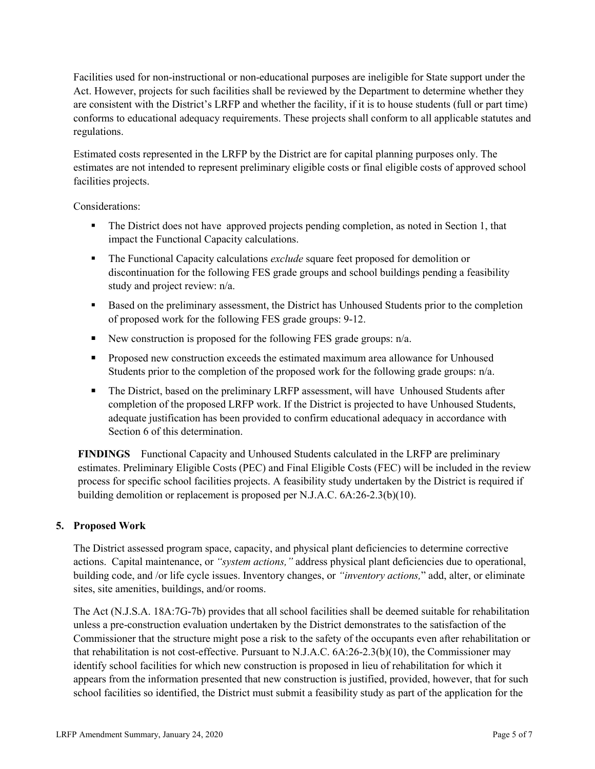Facilities used for non-instructional or non-educational purposes are ineligible for State support under the Act. However, projects for such facilities shall be reviewed by the Department to determine whether they are consistent with the District's LRFP and whether the facility, if it is to house students (full or part time) conforms to educational adequacy requirements. These projects shall conform to all applicable statutes and regulations.

Estimated costs represented in the LRFP by the District are for capital planning purposes only. The estimates are not intended to represent preliminary eligible costs or final eligible costs of approved school facilities projects.

Considerations:

- The District does not have approved projects pending completion, as noted in Section 1, that impact the Functional Capacity calculations.
- The Functional Capacity calculations *exclude* square feet proposed for demolition or discontinuation for the following FES grade groups and school buildings pending a feasibility study and project review: n/a.
- Based on the preliminary assessment, the District has Unhoused Students prior to the completion of proposed work for the following FES grade groups: 9-12.
- New construction is proposed for the following FES grade groups:  $n/a$ .
- **Proposed new construction exceeds the estimated maximum area allowance for Unhoused** Students prior to the completion of the proposed work for the following grade groups:  $n/a$ .
- The District, based on the preliminary LRFP assessment, will have Unhoused Students after completion of the proposed LRFP work. If the District is projected to have Unhoused Students, adequate justification has been provided to confirm educational adequacy in accordance with Section 6 of this determination.

**FINDINGS** Functional Capacity and Unhoused Students calculated in the LRFP are preliminary estimates. Preliminary Eligible Costs (PEC) and Final Eligible Costs (FEC) will be included in the review process for specific school facilities projects. A feasibility study undertaken by the District is required if building demolition or replacement is proposed per N.J.A.C. 6A:26-2.3(b)(10).

# **5. Proposed Work**

The District assessed program space, capacity, and physical plant deficiencies to determine corrective actions. Capital maintenance, or *"system actions,"* address physical plant deficiencies due to operational, building code, and /or life cycle issues. Inventory changes, or *"inventory actions,*" add, alter, or eliminate sites, site amenities, buildings, and/or rooms.

The Act (N.J.S.A. 18A:7G-7b) provides that all school facilities shall be deemed suitable for rehabilitation unless a pre-construction evaluation undertaken by the District demonstrates to the satisfaction of the Commissioner that the structure might pose a risk to the safety of the occupants even after rehabilitation or that rehabilitation is not cost-effective. Pursuant to N.J.A.C. 6A:26-2.3(b)(10), the Commissioner may identify school facilities for which new construction is proposed in lieu of rehabilitation for which it appears from the information presented that new construction is justified, provided, however, that for such school facilities so identified, the District must submit a feasibility study as part of the application for the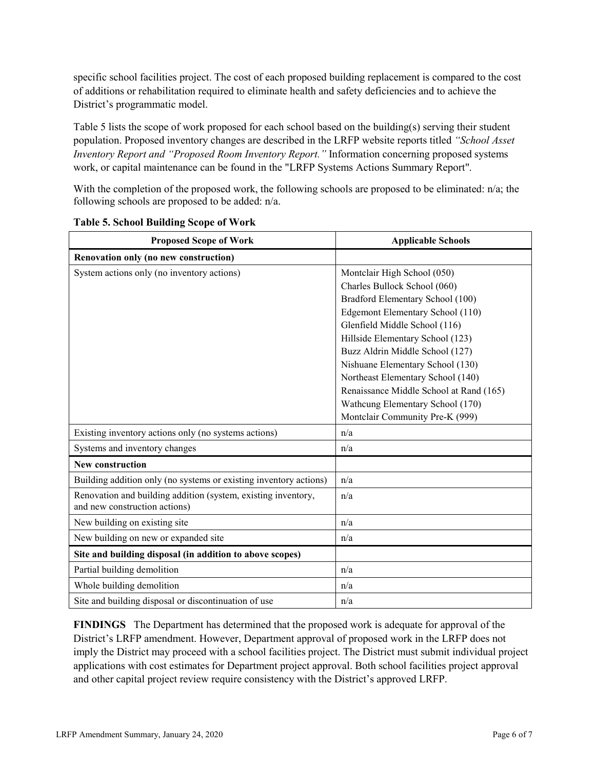specific school facilities project. The cost of each proposed building replacement is compared to the cost of additions or rehabilitation required to eliminate health and safety deficiencies and to achieve the District's programmatic model.

Table 5 lists the scope of work proposed for each school based on the building(s) serving their student population. Proposed inventory changes are described in the LRFP website reports titled *"School Asset Inventory Report and "Proposed Room Inventory Report."* Information concerning proposed systems work, or capital maintenance can be found in the "LRFP Systems Actions Summary Report".

With the completion of the proposed work, the following schools are proposed to be eliminated: n/a; the following schools are proposed to be added: n/a.

| <b>Proposed Scope of Work</b>                                                                  | <b>Applicable Schools</b>               |
|------------------------------------------------------------------------------------------------|-----------------------------------------|
| Renovation only (no new construction)                                                          |                                         |
| System actions only (no inventory actions)                                                     | Montclair High School (050)             |
|                                                                                                | Charles Bullock School (060)            |
|                                                                                                | Bradford Elementary School (100)        |
|                                                                                                | Edgemont Elementary School (110)        |
|                                                                                                | Glenfield Middle School (116)           |
|                                                                                                | Hillside Elementary School (123)        |
|                                                                                                | Buzz Aldrin Middle School (127)         |
|                                                                                                | Nishuane Elementary School (130)        |
|                                                                                                | Northeast Elementary School (140)       |
|                                                                                                | Renaissance Middle School at Rand (165) |
|                                                                                                | Wathcung Elementary School (170)        |
|                                                                                                | Montclair Community Pre-K (999)         |
| Existing inventory actions only (no systems actions)                                           | n/a                                     |
| Systems and inventory changes                                                                  | n/a                                     |
| <b>New construction</b>                                                                        |                                         |
| Building addition only (no systems or existing inventory actions)                              | n/a                                     |
| Renovation and building addition (system, existing inventory,<br>and new construction actions) | n/a                                     |
| New building on existing site                                                                  | n/a                                     |
| New building on new or expanded site                                                           | n/a                                     |
| Site and building disposal (in addition to above scopes)                                       |                                         |
| Partial building demolition                                                                    | n/a                                     |
| Whole building demolition                                                                      | n/a                                     |
| Site and building disposal or discontinuation of use                                           | n/a                                     |

#### **Table 5. School Building Scope of Work**

**FINDINGS** The Department has determined that the proposed work is adequate for approval of the District's LRFP amendment. However, Department approval of proposed work in the LRFP does not imply the District may proceed with a school facilities project. The District must submit individual project applications with cost estimates for Department project approval. Both school facilities project approval and other capital project review require consistency with the District's approved LRFP.